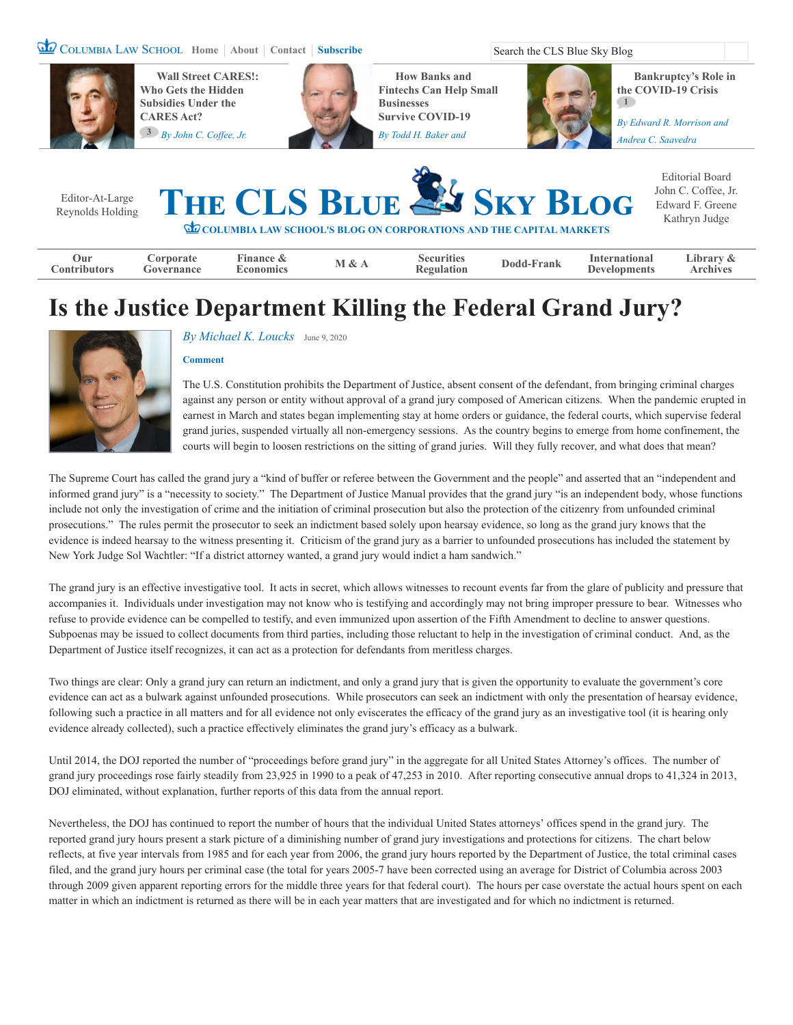COLUMBIA LAW SCHOOL [Home](https://clsbluesky.law.columbia.edu/) | [About](https://clsbluesky.law.columbia.edu/about-us/) | [Contact](https://clsbluesky.law.columbia.edu/submit/) | [Subscribe](https://clsbluesky.law.columbia.edu/newsletter-signup/) Search the CLS Blue Sky Blog



**Wall Street CARES!: [Who Gets the Hidden](https://clsbluesky.law.columbia.edu/2020/04/15/wall-street-cares-who-gets-the-hidden-subsidies-under-the-cares-act/) Subsidies Under the CARES Act? 3** *By [John C. Coffee, Jr.](https://clsbluesky.law.columbia.edu/author/john-c-coffee-jr/)*



**How Banks and [Fintechs Can Help Small](https://clsbluesky.law.columbia.edu/2020/04/16/how-banks-and-fintechs-can-help-small-businesses-survive-covid-19/) Businesses Survive COVID-19**

*By [Todd H. Baker](https://clsbluesky.law.columbia.edu/author/todd-h-baker/) and* 

**[Bankruptcy's Role in](https://clsbluesky.law.columbia.edu/2020/04/09/bankruptcys-role-in-the-covid-19-crisis/) the COVID-19 Crisis 1** *By [Edward R. Morrison](https://clsbluesky.law.columbia.edu/author/edward-r-morrison/) and* 

*[Andrea C. Saavedra](https://clsbluesky.law.columbia.edu/author/andrea-c-saavedra/)*

Editor-At-Large [Reynolds Holding](http://www.law.columbia.edu/fac/Reynolds_Holding)



Editorial Board [John C. Coffee, Jr.](http://web.law.columbia.edu/faculty/john-coffee-jr) [Edward F. Greene](http://web.law.columbia.edu/faculty/edward-greene) [Kathryn Judge](http://web.law.columbia.edu/faculty/kathryn-judge)

**COLUMBIA LAW SCHOOL'S BLOG ON CORPORATIONS AND THE CAPITAL MARKETS**

| Jur                 | orporate          | Finance  | $\Omega$ | Securities        | Dodd         | International       | ∟ibrarv  |
|---------------------|-------------------|----------|----------|-------------------|--------------|---------------------|----------|
| <b>Contributors</b> | <b>Governance</b> | conomics |          | <b>'egulation</b> | <b>Frank</b> | <b>'evelopments</b> | Archives |
|                     |                   |          |          |                   |              |                     |          |

# **Is the Justice Department Killing the Federal Grand Jury?**



#### *By [Michael K. Loucks](https://clsbluesky.law.columbia.edu/author/michael-k-loucks/)* [June 9, 2020](https://clsbluesky.law.columbia.edu/2020/06/09/is-the-justice-department-killing-the-federal-grand-jury/)

#### **[Comment](#page-2-0)**

The U.S. Constitution prohibits the Department of Justice, absent consent of the defendant, from bringing criminal charges against any person or entity without approval of a grand jury composed of American citizens. When the pandemic erupted in earnest in March and states began implementing stay at home orders or guidance, the federal courts, which supervise federal grand juries, suspended virtually all non-emergency sessions. As the country begins to emerge from home confinement, the courts will begin to loosen restrictions on the sitting of grand juries. Will they fully recover, and what does that mean?

The Supreme Court has called the grand jury a "kind of buffer or referee between the Government and the people" and asserted that an "independent and informed grand jury" is a "necessity to society." The Department of Justice Manual provides that the grand jury "is an independent body, whose functions include not only the investigation of crime and the initiation of criminal prosecution but also the protection of the citizenry from unfounded criminal prosecutions." The rules permit the prosecutor to seek an indictment based solely upon hearsay evidence, so long as the grand jury knows that the evidence is indeed hearsay to the witness presenting it. Criticism of the grand jury as a barrier to unfounded prosecutions has included the statement by New York Judge Sol Wachtler: "If a district attorney wanted, a grand jury would indict a ham sandwich."

The grand jury is an effective investigative tool. It acts in secret, which allows witnesses to recount events far from the glare of publicity and pressure that accompanies it. Individuals under investigation may not know who is testifying and accordingly may not bring improper pressure to bear. Witnesses who refuse to provide evidence can be compelled to testify, and even immunized upon assertion of the Fifth Amendment to decline to answer questions. Subpoenas may be issued to collect documents from third parties, including those reluctant to help in the investigation of criminal conduct. And, as the Department of Justice itself recognizes, it can act as a protection for defendants from meritless charges.

Two things are clear: Only a grand jury can return an indictment, and only a grand jury that is given the opportunity to evaluate the government's core evidence can act as a bulwark against unfounded prosecutions. While prosecutors can seek an indictment with only the presentation of hearsay evidence, following such a practice in all matters and for all evidence not only eviscerates the efficacy of the grand jury as an investigative tool (it is hearing only evidence already collected), such a practice effectively eliminates the grand jury's efficacy as a bulwark.

Until 2014, the DOJ reported the number of "proceedings before grand jury" in the aggregate for all United States Attorney's offices. The number of grand jury proceedings rose fairly steadily from 23,925 in 1990 to a peak of 47,253 in 2010. After reporting consecutive annual drops to 41,324 in 2013, DOJ eliminated, without explanation, further reports of this data from the annual report.

Nevertheless, the DOJ has continued to report the number of hours that the individual United States attorneys' offices spend in the grand jury. The reported grand jury hours present a stark picture of a diminishing number of grand jury investigations and protections for citizens. The chart below reflects, at five year intervals from 1985 and for each year from 2006, the grand jury hours reported by the Department of Justice, the total criminal cases filed, and the grand jury hours per criminal case (the total for years 2005-7 have been corrected using an average for District of Columbia across 2003 through 2009 given apparent reporting errors for the middle three years for that federal court). The hours per case overstate the actual hours spent on each matter in which an indictment is returned as there will be in each year matters that are investigated and for which no indictment is returned.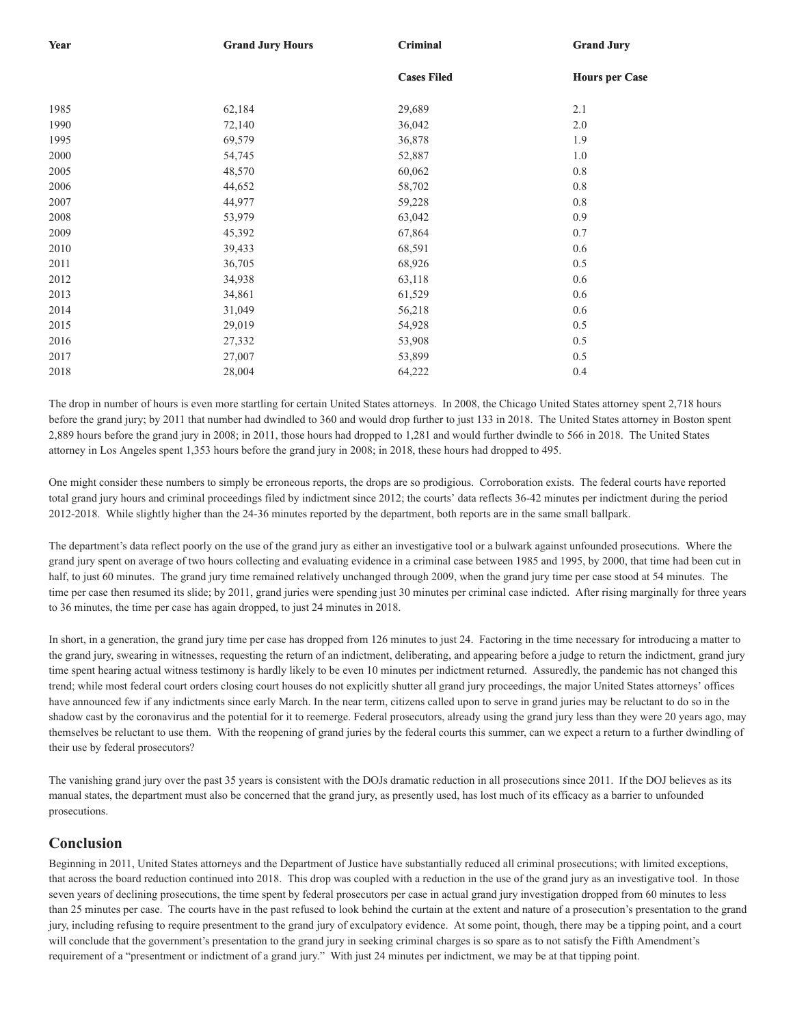| Year | <b>Grand Jury Hours</b> | <b>Criminal</b>    | <b>Grand Jury</b>     |  |
|------|-------------------------|--------------------|-----------------------|--|
|      |                         | <b>Cases Filed</b> | <b>Hours per Case</b> |  |
| 1985 | 62,184                  | 29,689             | 2.1                   |  |
| 1990 | 72,140                  | 36,042             | 2.0                   |  |
| 1995 | 69,579                  | 36,878             | 1.9                   |  |
| 2000 | 54,745                  | 52,887             | 1.0                   |  |
| 2005 | 48,570                  | 60,062             | 0.8                   |  |
| 2006 | 44,652                  | 58,702             | 0.8                   |  |
| 2007 | 44,977                  | 59,228             | $0.8\,$               |  |
| 2008 | 53,979                  | 63,042             | 0.9                   |  |
| 2009 | 45,392                  | 67,864             | 0.7                   |  |
| 2010 | 39,433                  | 68,591             | $0.6\,$               |  |
| 2011 | 36,705                  | 68,926             | 0.5                   |  |
| 2012 | 34,938                  | 63,118             | 0.6                   |  |
| 2013 | 34,861                  | 61,529             | 0.6                   |  |
| 2014 | 31,049                  | 56,218             | $0.6\,$               |  |
| 2015 | 29,019                  | 54,928             | 0.5                   |  |
| 2016 | 27,332                  | 53,908             | 0.5                   |  |
| 2017 | 27,007                  | 53,899             | 0.5                   |  |
| 2018 | 28,004                  | 64,222             | 0.4                   |  |

The drop in number of hours is even more startling for certain United States attorneys. In 2008, the Chicago United States attorney spent 2,718 hours before the grand jury; by 2011 that number had dwindled to 360 and would drop further to just 133 in 2018. The United States attorney in Boston spent 2,889 hours before the grand jury in 2008; in 2011, those hours had dropped to 1,281 and would further dwindle to 566 in 2018. The United States attorney in Los Angeles spent 1,353 hours before the grand jury in 2008; in 2018, these hours had dropped to 495.

One might consider these numbers to simply be erroneous reports, the drops are so prodigious. Corroboration exists. The federal courts have reported total grand jury hours and criminal proceedings filed by indictment since 2012; the courts' data reflects 36-42 minutes per indictment during the period 2012-2018. While slightly higher than the 24-36 minutes reported by the department, both reports are in the same small ballpark.

The department's data reflect poorly on the use of the grand jury as either an investigative tool or a bulwark against unfounded prosecutions. Where the grand jury spent on average of two hours collecting and evaluating evidence in a criminal case between 1985 and 1995, by 2000, that time had been cut in half, to just 60 minutes. The grand jury time remained relatively unchanged through 2009, when the grand jury time per case stood at 54 minutes. The time per case then resumed its slide; by 2011, grand juries were spending just 30 minutes per criminal case indicted. After rising marginally for three years to 36 minutes, the time per case has again dropped, to just 24 minutes in 2018.

In short, in a generation, the grand jury time per case has dropped from 126 minutes to just 24. Factoring in the time necessary for introducing a matter to the grand jury, swearing in witnesses, requesting the return of an indictment, deliberating, and appearing before a judge to return the indictment, grand jury time spent hearing actual witness testimony is hardly likely to be even 10 minutes per indictment returned. Assuredly, the pandemic has not changed this trend; while most federal court orders closing court houses do not explicitly shutter all grand jury proceedings, the major United States attorneys' offices have announced few if any indictments since early March. In the near term, citizens called upon to serve in grand juries may be reluctant to do so in the shadow cast by the coronavirus and the potential for it to reemerge. Federal prosecutors, already using the grand jury less than they were 20 years ago, may themselves be reluctant to use them. With the reopening of grand juries by the federal courts this summer, can we expect a return to a further dwindling of their use by federal prosecutors?

The vanishing grand jury over the past 35 years is consistent with the DOJs dramatic reduction in all prosecutions since 2011. If the DOJ believes as its manual states, the department must also be concerned that the grand jury, as presently used, has lost much of its efficacy as a barrier to unfounded prosecutions.

### **Conclusion**

Beginning in 2011, United States attorneys and the Department of Justice have substantially reduced all criminal prosecutions; with limited exceptions, that across the board reduction continued into 2018. This drop was coupled with a reduction in the use of the grand jury as an investigative tool. In those seven years of declining prosecutions, the time spent by federal prosecutors per case in actual grand jury investigation dropped from 60 minutes to less than 25 minutes per case. The courts have in the past refused to look behind the curtain at the extent and nature of a prosecution's presentation to the grand jury, including refusing to require presentment to the grand jury of exculpatory evidence. At some point, though, there may be a tipping point, and a court will conclude that the government's presentation to the grand jury in seeking criminal charges is so spare as to not satisfy the Fifth Amendment's requirement of a "presentment or indictment of a grand jury." With just 24 minutes per indictment, we may be at that tipping point.